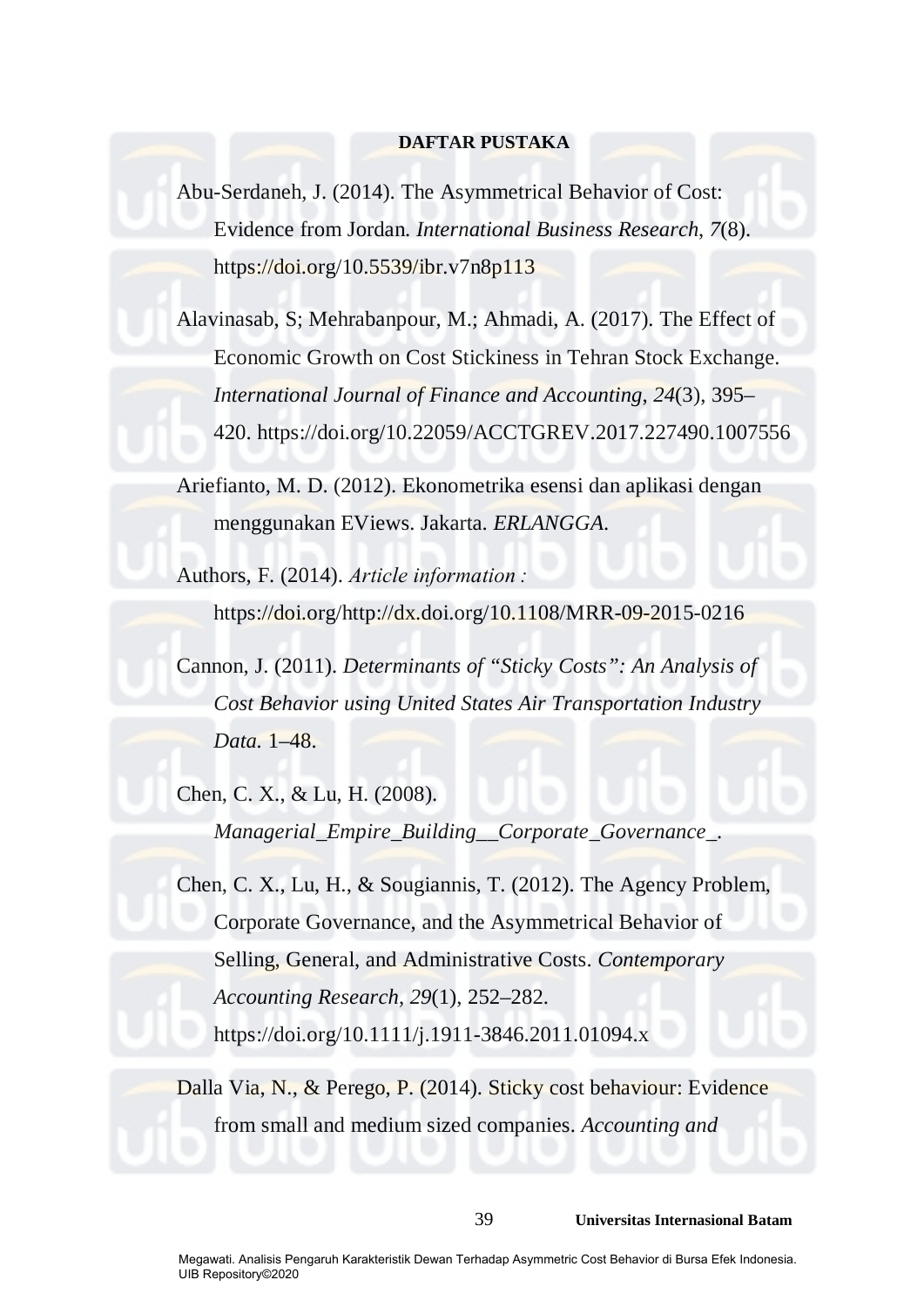# **DAFTAR PUSTAKA**

Abu-Serdaneh, J. (2014). The Asymmetrical Behavior of Cost: Evidence from Jordan. *International Business Research*, *7*(8). https://doi.org/10.5539/ibr.v7n8p113

Alavinasab, S; Mehrabanpour, M.; Ahmadi, A. (2017). The Effect of Economic Growth on Cost Stickiness in Tehran Stock Exchange. *International Journal of Finance and Accounting*, *24*(3), 395– 420. https://doi.org/10.22059/ACCTGREV.2017.227490.1007556

Ariefianto, M. D. (2012). Ekonometrika esensi dan aplikasi dengan menggunakan EViews. Jakarta. *ERLANGGA*.

Authors, F. (2014). *Article information :* https://doi.org/http://dx.doi.org/10.1108/MRR-09-2015-0216

Cannon, J. (2011). *Determinants of "Sticky Costs": An Analysis of Cost Behavior using United States Air Transportation Industry Data.* 1–48.

Chen, C. X., & Lu, H. (2008). *Managerial\_Empire\_Building\_\_Corporate\_Governance\_*.

Chen, C. X., Lu, H., & Sougiannis, T. (2012). The Agency Problem, Corporate Governance, and the Asymmetrical Behavior of Selling, General, and Administrative Costs. *Contemporary Accounting Research*, *29*(1), 252–282. https://doi.org/10.1111/j.1911-3846.2011.01094.x

Dalla Via, N., & Perego, P. (2014). Sticky cost behaviour: Evidence from small and medium sized companies. *Accounting and*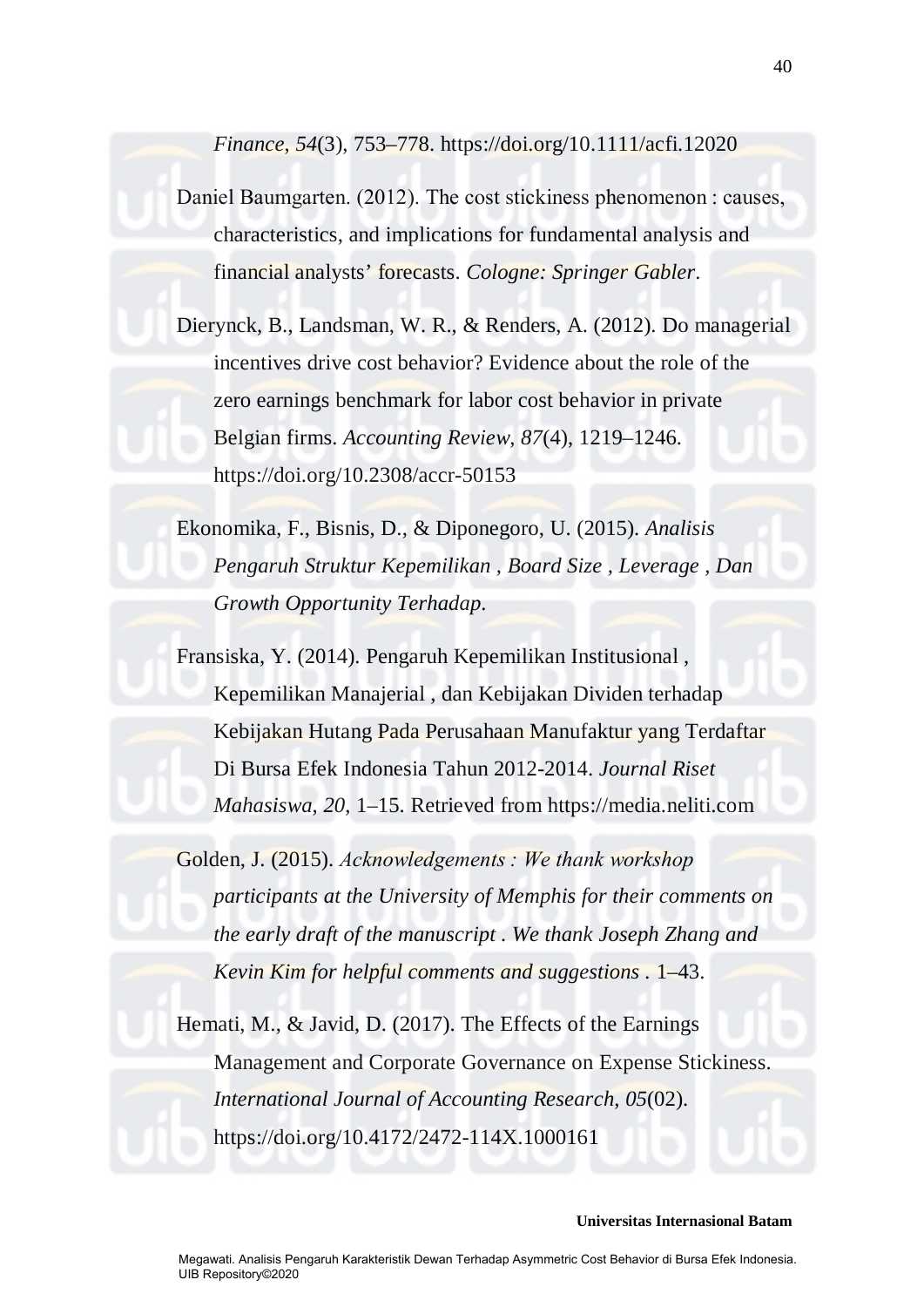*Finance*, *54*(3), 753–778. https://doi.org/10.1111/acfi.12020

Daniel Baumgarten. (2012). The cost stickiness phenomenon : causes, characteristics, and implications for fundamental analysis and financial analysts' forecasts. *Cologne: Springer Gabler*.

Dierynck, B., Landsman, W. R., & Renders, A. (2012). Do managerial incentives drive cost behavior? Evidence about the role of the zero earnings benchmark for labor cost behavior in private Belgian firms. *Accounting Review*, *87*(4), 1219–1246. https://doi.org/10.2308/accr-50153

Ekonomika, F., Bisnis, D., & Diponegoro, U. (2015). *Analisis Pengaruh Struktur Kepemilikan , Board Size , Leverage , Dan Growth Opportunity Terhadap*.

Fransiska, Y. (2014). Pengaruh Kepemilikan Institusional , Kepemilikan Manajerial , dan Kebijakan Dividen terhadap Kebijakan Hutang Pada Perusahaan Manufaktur yang Terdaftar Di Bursa Efek Indonesia Tahun 2012-2014. *Journal Riset Mahasiswa*, *20*, 1–15. Retrieved from https://media.neliti.com

Golden, J. (2015). *Acknowledgements : We thank workshop participants at the University of Memphis for their comments on the early draft of the manuscript . We thank Joseph Zhang and Kevin Kim for helpful comments and suggestions .* 1–43.

Hemati, M., & Javid, D. (2017). The Effects of the Earnings Management and Corporate Governance on Expense Stickiness. *International Journal of Accounting Research*, *05*(02). https://doi.org/10.4172/2472-114X.1000161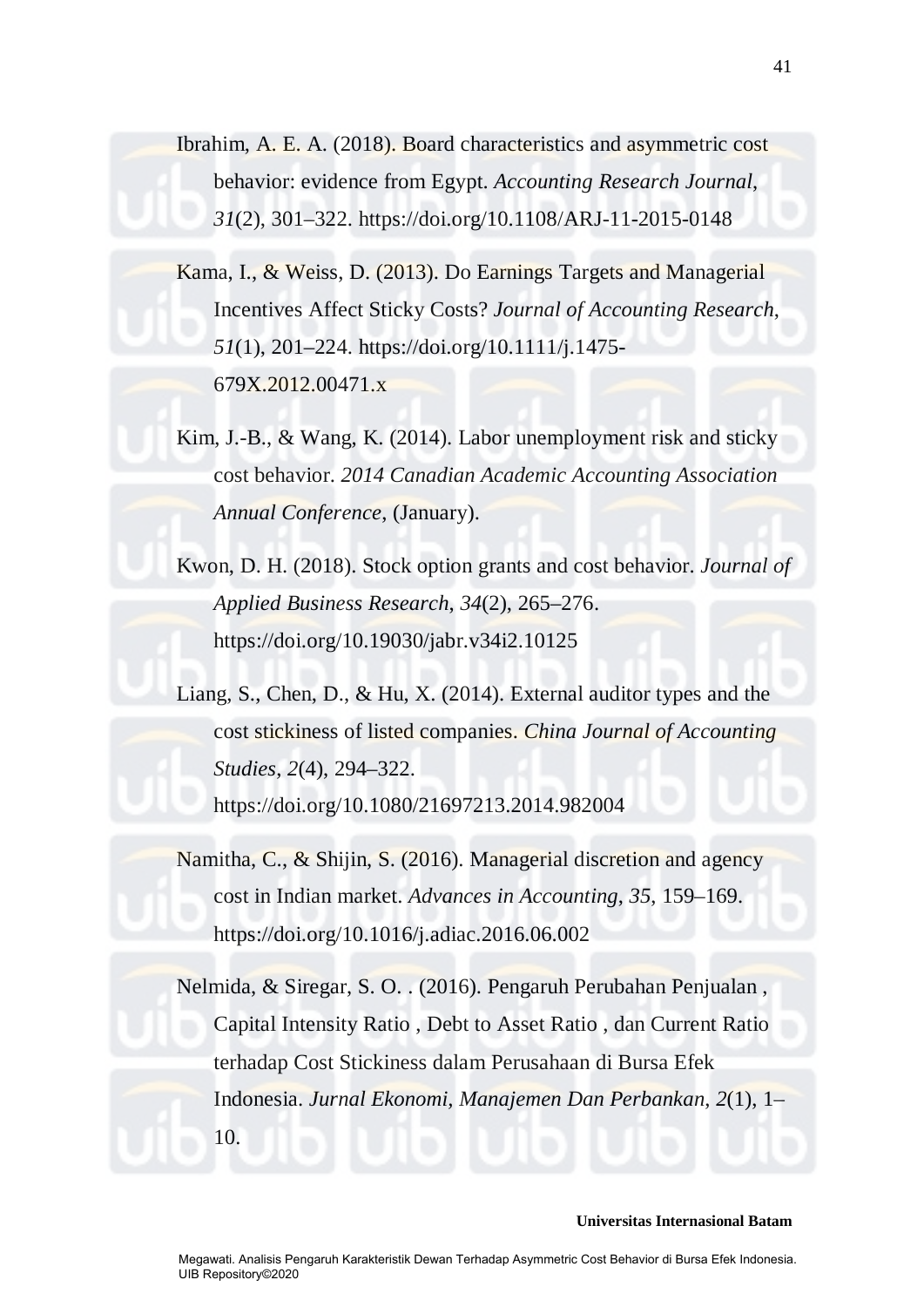Ibrahim, A. E. A. (2018). Board characteristics and asymmetric cost behavior: evidence from Egypt. *Accounting Research Journal*, *31*(2), 301–322. https://doi.org/10.1108/ARJ-11-2015-0148

Kama, I., & Weiss, D. (2013). Do Earnings Targets and Managerial Incentives Affect Sticky Costs? *Journal of Accounting Research*, *51*(1), 201–224. https://doi.org/10.1111/j.1475- 679X.2012.00471.x

Kim, J.-B., & Wang, K. (2014). Labor unemployment risk and sticky cost behavior. *2014 Canadian Academic Accounting Association Annual Conference*, (January).

Kwon, D. H. (2018). Stock option grants and cost behavior. *Journal of Applied Business Research*, *34*(2), 265–276. https://doi.org/10.19030/jabr.v34i2.10125

Liang, S., Chen, D., & Hu, X. (2014). External auditor types and the cost stickiness of listed companies. *China Journal of Accounting Studies*, *2*(4), 294–322. https://doi.org/10.1080/21697213.2014.982004

Namitha, C., & Shijin, S. (2016). Managerial discretion and agency cost in Indian market. *Advances in Accounting*, *35*, 159–169. https://doi.org/10.1016/j.adiac.2016.06.002

Nelmida, & Siregar, S. O. . (2016). Pengaruh Perubahan Penjualan , Capital Intensity Ratio , Debt to Asset Ratio , dan Current Ratio terhadap Cost Stickiness dalam Perusahaan di Bursa Efek Indonesia. *Jurnal Ekonomi, Manajemen Dan Perbankan*, *2*(1), 1– 10.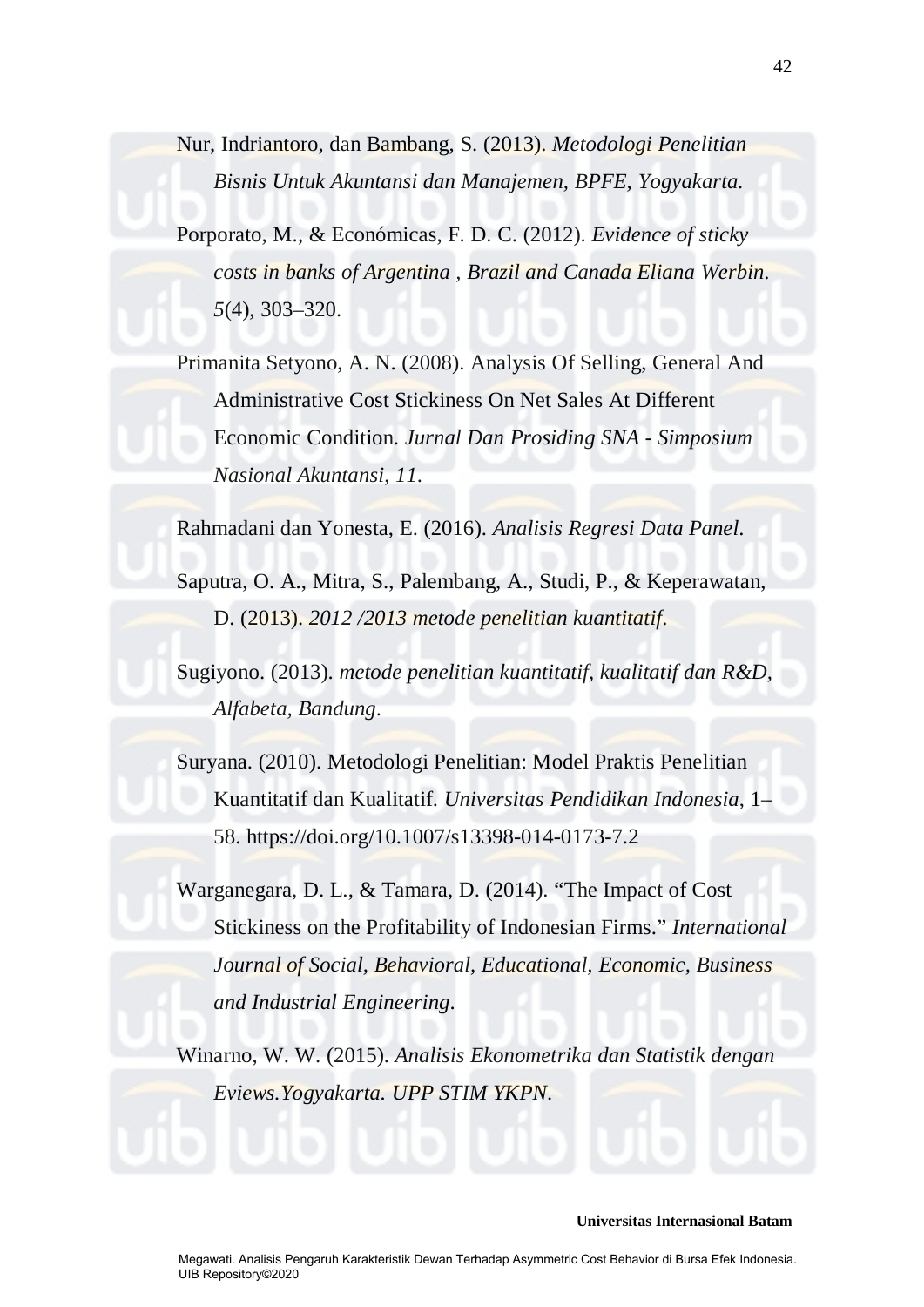Nur, Indriantoro, dan Bambang, S. (2013). *Metodologi Penelitian Bisnis Untuk Akuntansi dan Manajemen, BPFE, Yogyakarta.*

Porporato, M., & Económicas, F. D. C. (2012). *Evidence of sticky costs in banks of Argentina , Brazil and Canada Eliana Werbin*. *5*(4), 303–320.

Primanita Setyono, A. N. (2008). Analysis Of Selling, General And Administrative Cost Stickiness On Net Sales At Different Economic Condition. *Jurnal Dan Prosiding SNA - Simposium Nasional Akuntansi*, *11*.

Rahmadani dan Yonesta, E. (2016). *Analisis Regresi Data Panel*.

Saputra, O. A., Mitra, S., Palembang, A., Studi, P., & Keperawatan, D. (2013). *2012 /2013 metode penelitian kuantitatif*.

Sugiyono. (2013). *metode penelitian kuantitatif, kualitatif dan R&D, Alfabeta, Bandung*.

Suryana. (2010). Metodologi Penelitian: Model Praktis Penelitian Kuantitatif dan Kualitatif. *Universitas Pendidikan Indonesia*, 1– 58. https://doi.org/10.1007/s13398-014-0173-7.2

Warganegara, D. L., & Tamara, D. (2014). "The Impact of Cost Stickiness on the Profitability of Indonesian Firms." *International Journal of Social, Behavioral, Educational, Economic, Business and Industrial Engineering*.

Winarno, W. W. (2015). *Analisis Ekonometrika dan Statistik dengan Eviews.Yogyakarta. UPP STIM YKPN*.